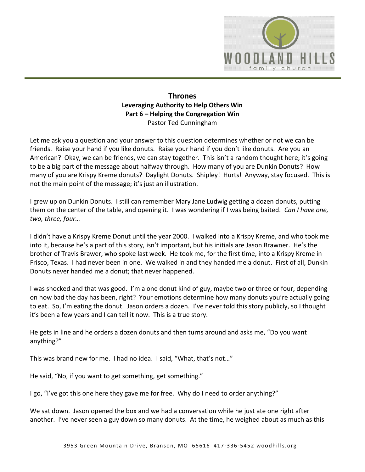

# **Thrones Leveraging Authority to Help Others Win Part 6 – Helping the Congregation Win**  Pastor Ted Cunningham

Let me ask you a question and your answer to this question determines whether or not we can be friends. Raise your hand if you like donuts. Raise your hand if you don't like donuts. Are you an American? Okay, we can be friends, we can stay together. This isn't a random thought here; it's going to be a big part of the message about halfway through. How many of you are Dunkin Donuts? How many of you are Krispy Kreme donuts? Daylight Donuts. Shipley! Hurts! Anyway, stay focused. This is not the main point of the message; it's just an illustration.

I grew up on Dunkin Donuts. I still can remember Mary Jane Ludwig getting a dozen donuts, putting them on the center of the table, and opening it. I was wondering if I was being baited. *Can I have one, two, three, four…*

I didn't have a Krispy Kreme Donut until the year 2000. I walked into a Krispy Kreme, and who took me into it, because he's a part of this story, isn't important, but his initials are Jason Brawner. He's the brother of Travis Brawer, who spoke last week. He took me, for the first time, into a Krispy Kreme in Frisco, Texas. I had never been in one. We walked in and they handed me a donut. First of all, Dunkin Donuts never handed me a donut; that never happened.

I was shocked and that was good. I'm a one donut kind of guy, maybe two or three or four, depending on how bad the day has been, right? Your emotions determine how many donuts you're actually going to eat. So, I'm eating the donut. Jason orders a dozen. I've never told this story publicly, so I thought it's been a few years and I can tell it now. This is a true story.

He gets in line and he orders a dozen donuts and then turns around and asks me, "Do you want anything?"

This was brand new for me. I had no idea. I said, "What, that's not…"

He said, "No, if you want to get something, get something."

I go, "I've got this one here they gave me for free. Why do I need to order anything?"

We sat down. Jason opened the box and we had a conversation while he just ate one right after another. I've never seen a guy down so many donuts. At the time, he weighed about as much as this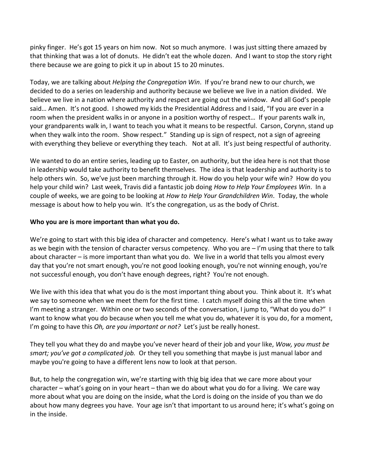pinky finger. He's got 15 years on him now. Not so much anymore. I was just sitting there amazed by that thinking that was a lot of donuts. He didn't eat the whole dozen. And I want to stop the story right there because we are going to pick it up in about 15 to 20 minutes.

Today, we are talking about *Helping the Congregation Win*. If you're brand new to our church, we decided to do a series on leadership and authority because we believe we live in a nation divided. We believe we live in a nation where authority and respect are going out the window. And all God's people said… Amen. It's not good. I showed my kids the Presidential Address and I said, "If you are ever in a room when the president walks in or anyone in a position worthy of respect… If your parents walk in, your grandparents walk in, I want to teach you what it means to be respectful. Carson, Corynn, stand up when they walk into the room. Show respect." Standing up is sign of respect, not a sign of agreeing with everything they believe or everything they teach. Not at all. It's just being respectful of authority.

We wanted to do an entire series, leading up to Easter, on authority, but the idea here is not that those in leadership would take authority to benefit themselves. The idea is that leadership and authority is to help others win. So, we've just been marching through it. How do you help your wife win? How do you help your child win? Last week, Travis did a fantastic job doing *How to Help Your Employees Win*. In a couple of weeks, we are going to be looking at *How to Help Your Grandchildren Win*. Today, the whole message is about how to help you win. It's the congregation, us as the body of Christ.

## **Who you are is more important than what you do.**

We're going to start with this big idea of character and competency. Here's what I want us to take away as we begin with the tension of character versus competency. Who you are – I'm using that there to talk about character – is more important than what you do. We live in a world that tells you almost every day that you're not smart enough, you're not good looking enough, you're not winning enough, you're not successful enough, you don't have enough degrees, right? You're not enough.

We live with this idea that what you do is the most important thing about you. Think about it. It's what we say to someone when we meet them for the first time. I catch myself doing this all the time when I'm meeting a stranger. Within one or two seconds of the conversation, I jump to, "What do you do?" I want to know what you do because when you tell me what you do, whatever it is you do, for a moment, I'm going to have this *Oh, are you important or not?* Let's just be really honest.

They tell you what they do and maybe you've never heard of their job and your like, *Wow, you must be smart; you've got a complicated job.* Or they tell you something that maybe is just manual labor and maybe you're going to have a different lens now to look at that person.

But, to help the congregation win, we're starting with thig big idea that we care more about your character – what's going on in your heart – than we do about what you do for a living. We care way more about what you are doing on the inside, what the Lord is doing on the inside of you than we do about how many degrees you have. Your age isn't that important to us around here; it's what's going on in the inside.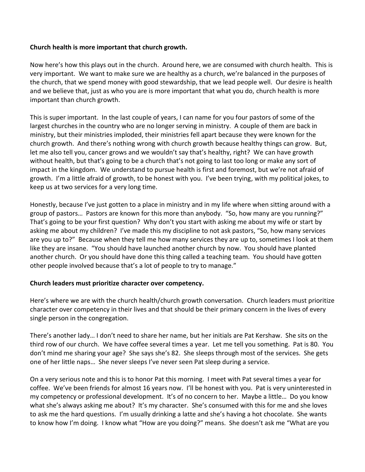## **Church health is more important that church growth.**

Now here's how this plays out in the church. Around here, we are consumed with church health. This is very important. We want to make sure we are healthy as a church, we're balanced in the purposes of the church, that we spend money with good stewardship, that we lead people well. Our desire is health and we believe that, just as who you are is more important that what you do, church health is more important than church growth.

This is super important. In the last couple of years, I can name for you four pastors of some of the largest churches in the country who are no longer serving in ministry. A couple of them are back in ministry, but their ministries imploded, their ministries fell apart because they were known for the church growth. And there's nothing wrong with church growth because healthy things can grow. But, let me also tell you, cancer grows and we wouldn't say that's healthy, right? We can have growth without health, but that's going to be a church that's not going to last too long or make any sort of impact in the kingdom. We understand to pursue health is first and foremost, but we're not afraid of growth. I'm a little afraid of growth, to be honest with you. I've been trying, with my political jokes, to keep us at two services for a very long time.

Honestly, because I've just gotten to a place in ministry and in my life where when sitting around with a group of pastors… Pastors are known for this more than anybody. "So, how many are you running?" That's going to be your first question? Why don't you start with asking me about my wife or start by asking me about my children? I've made this my discipline to not ask pastors, "So, how many services are you up to?" Because when they tell me how many services they are up to, sometimes I look at them like they are insane. "You should have launched another church by now. You should have planted another church. Or you should have done this thing called a teaching team. You should have gotten other people involved because that's a lot of people to try to manage."

#### **Church leaders must prioritize character over competency.**

Here's where we are with the church health/church growth conversation. Church leaders must prioritize character over competency in their lives and that should be their primary concern in the lives of every single person in the congregation.

There's another lady… I don't need to share her name, but her initials are Pat Kershaw. She sits on the third row of our church. We have coffee several times a year. Let me tell you something. Pat is 80. You don't mind me sharing your age? She says she's 82. She sleeps through most of the services. She gets one of her little naps… She never sleeps I've never seen Pat sleep during a service.

On a very serious note and this is to honor Pat this morning. I meet with Pat several times a year for coffee. We've been friends for almost 16 years now. I'll be honest with you. Pat is very uninterested in my competency or professional development. It's of no concern to her. Maybe a little… Do you know what she's always asking me about? It's my character. She's consumed with this for me and she loves to ask me the hard questions. I'm usually drinking a latte and she's having a hot chocolate. She wants to know how I'm doing. I know what "How are you doing?" means. She doesn't ask me "What are you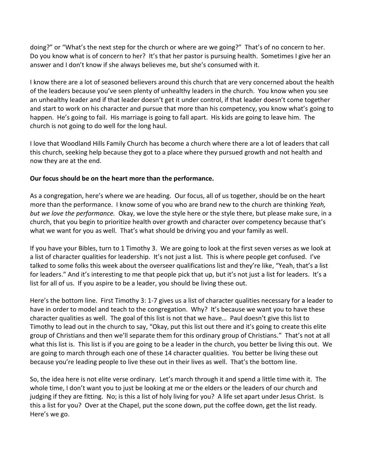doing?" or "What's the next step for the church or where are we going?" That's of no concern to her. Do you know what is of concern to her? It's that her pastor is pursuing health. Sometimes I give her an answer and I don't know if she always believes me, but she's consumed with it.

I know there are a lot of seasoned believers around this church that are very concerned about the health of the leaders because you've seen plenty of unhealthy leaders in the church. You know when you see an unhealthy leader and if that leader doesn't get it under control, if that leader doesn't come together and start to work on his character and pursue that more than his competency, you know what's going to happen. He's going to fail. His marriage is going to fall apart. His kids are going to leave him. The church is not going to do well for the long haul.

I love that Woodland Hills Family Church has become a church where there are a lot of leaders that call this church, seeking help because they got to a place where they pursued growth and not health and now they are at the end.

# **Our focus should be on the heart more than the performance.**

As a congregation, here's where we are heading. Our focus, all of us together, should be on the heart more than the performance. I know some of you who are brand new to the church are thinking *Yeah, but we love the performance.* Okay, we love the style here or the style there, but please make sure, in a church, that you begin to prioritize health over growth and character over competency because that's what we want for you as well. That's what should be driving you and your family as well.

If you have your Bibles, turn to 1 Timothy 3. We are going to look at the first seven verses as we look at a list of character qualities for leadership. It's not just a list. This is where people get confused. I've talked to some folks this week about the overseer qualifications list and they're like, "Yeah, that's a list for leaders." And it's interesting to me that people pick that up, but it's not just a list for leaders. It's a list for all of us. If you aspire to be a leader, you should be living these out.

Here's the bottom line. First Timothy 3: 1-7 gives us a list of character qualities necessary for a leader to have in order to model and teach to the congregation. Why? It's because we want you to have these character qualities as well. The goal of this list is not that we have… Paul doesn't give this list to Timothy to lead out in the church to say, "Okay, put this list out there and it's going to create this elite group of Christians and then we'll separate them for this ordinary group of Christians." That's not at all what this list is. This list is if you are going to be a leader in the church, you better be living this out. We are going to march through each one of these 14 character qualities. You better be living these out because you're leading people to live these out in their lives as well. That's the bottom line.

So, the idea here is not elite verse ordinary. Let's march through it and spend a little time with it. The whole time, I don't want you to just be looking at me or the elders or the leaders of our church and judging if they are fitting. No; is this a list of holy living for you? A life set apart under Jesus Christ. Is this a list for you? Over at the Chapel, put the scone down, put the coffee down, get the list ready. Here's we go.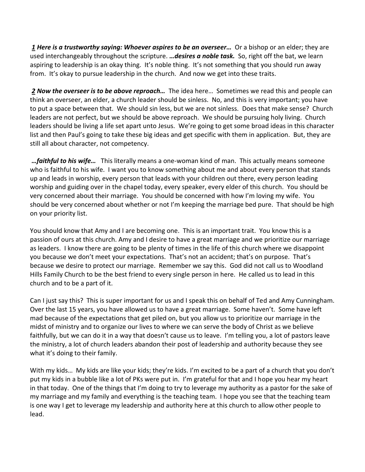*[1](http://www.studylight.org/desk/?q=1ti%203:1&t1=en_niv&sr=1) Here is a trustworthy saying: Whoever aspires to be an overseer…* Or a bishop or an elder; they are used interchangeably throughout the scripture. *…desires a noble task.* So, right off the bat, we learn aspiring to leadership is an okay thing. It's noble thing. It's not something that you should run away from. It's okay to pursue leadership in the church. And now we get into these traits.

 *[2](http://www.studylight.org/desk/?q=1ti%203:2&t1=en_niv&sr=1) Now the overseer is to be above reproach…* The idea here… Sometimes we read this and people can think an overseer, an elder, a church leader should be sinless. No, and this is very important; you have to put a space between that. We should sin less, but we are not sinless. Does that make sense? Church leaders are not perfect, but we should be above reproach. We should be pursuing holy living. Church leaders should be living a life set apart unto Jesus. We're going to get some broad ideas in this character list and then Paul's going to take these big ideas and get specific with them in application. But, they are still all about character, not competency.

*…faithful to his wife…* This literally means a one-woman kind of man. This actually means someone who is faithful to his wife. I want you to know something about me and about every person that stands up and leads in worship, every person that leads with your children out there, every person leading worship and guiding over in the chapel today, every speaker, every elder of this church. You should be very concerned about their marriage. You should be concerned with how I'm loving my wife. You should be very concerned about whether or not I'm keeping the marriage bed pure. That should be high on your priority list.

You should know that Amy and I are becoming one. This is an important trait. You know this is a passion of ours at this church. Amy and I desire to have a great marriage and we prioritize our marriage as leaders. I know there are going to be plenty of times in the life of this church where we disappoint you because we don't meet your expectations. That's not an accident; that's on purpose. That's because we desire to protect our marriage. Remember we say this. God did not call us to Woodland Hills Family Church to be the best friend to every single person in here. He called us to lead in this church and to be a part of it.

Can I just say this? This is super important for us and I speak this on behalf of Ted and Amy Cunningham. Over the last 15 years, you have allowed us to have a great marriage. Some haven't. Some have left mad because of the expectations that get piled on, but you allow us to prioritize our marriage in the midst of ministry and to organize our lives to where we can serve the body of Christ as we believe faithfully, but we can do it in a way that doesn't cause us to leave. I'm telling you, a lot of pastors leave the ministry, a lot of church leaders abandon their post of leadership and authority because they see what it's doing to their family.

With my kids… My kids are like your kids; they're kids. I'm excited to be a part of a church that you don't put my kids in a bubble like a lot of PKs were put in. I'm grateful for that and I hope you hear my heart in that today. One of the things that I'm doing to try to leverage my authority as a pastor for the sake of my marriage and my family and everything is the teaching team. I hope you see that the teaching team is one way I get to leverage my leadership and authority here at this church to allow other people to lead.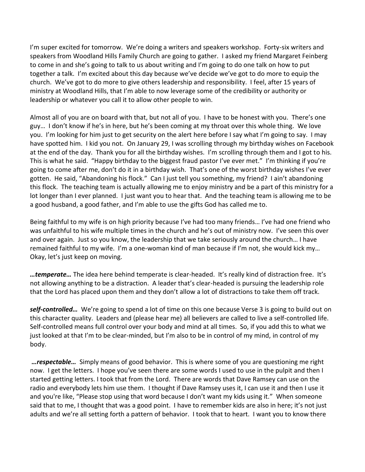I'm super excited for tomorrow. We're doing a writers and speakers workshop. Forty-six writers and speakers from Woodland Hills Family Church are going to gather. I asked my friend Margaret Feinberg to come in and she's going to talk to us about writing and I'm going to do one talk on how to put together a talk. I'm excited about this day because we've decide we've got to do more to equip the church. We've got to do more to give others leadership and responsibility. I feel, after 15 years of ministry at Woodland Hills, that I'm able to now leverage some of the credibility or authority or leadership or whatever you call it to allow other people to win.

Almost all of you are on board with that, but not all of you. I have to be honest with you. There's one guy… I don't know if he's in here, but he's been coming at my throat over this whole thing. We love you. I'm looking for him just to get security on the alert here before I say what I'm going to say. I may have spotted him. I kid you not. On January 29, I was scrolling through my birthday wishes on Facebook at the end of the day. Thank you for all the birthday wishes. I'm scrolling through them and I got to his. This is what he said. "Happy birthday to the biggest fraud pastor I've ever met." I'm thinking if you're going to come after me, don't do it in a birthday wish. That's one of the worst birthday wishes I've ever gotten. He said, "Abandoning his flock." Can I just tell you something, my friend? I ain't abandoning this flock. The teaching team is actually allowing me to enjoy ministry and be a part of this ministry for a lot longer than I ever planned. I just want you to hear that. And the teaching team is allowing me to be a good husband, a good father, and I'm able to use the gifts God has called me to.

Being faithful to my wife is on high priority because I've had too many friends… I've had one friend who was unfaithful to his wife multiple times in the church and he's out of ministry now. I've seen this over and over again. Just so you know, the leadership that we take seriously around the church… I have remained faithful to my wife. I'm a one-woman kind of man because if I'm not, she would kick my… Okay, let's just keep on moving.

*…temperate…* The idea here behind temperate is clear-headed. It's really kind of distraction free. It's not allowing anything to be a distraction. A leader that's clear-headed is pursuing the leadership role that the Lord has placed upon them and they don't allow a lot of distractions to take them off track.

*self-controlled…* We're going to spend a lot of time on this one because Verse 3 is going to build out on this character quality. Leaders and (please hear me) all believers are called to live a self-controlled life. Self-controlled means full control over your body and mind at all times. So, if you add this to what we just looked at that I'm to be clear-minded, but I'm also to be in control of my mind, in control of my body.

*…respectable…* Simply means of good behavior. This is where some of you are questioning me right now. I get the letters. I hope you've seen there are some words I used to use in the pulpit and then I started getting letters. I took that from the Lord. There are words that Dave Ramsey can use on the radio and everybody lets him use them. I thought if Dave Ramsey uses it, I can use it and then I use it and you're like, "Please stop using that word because I don't want my kids using it." When someone said that to me, I thought that was a good point. I have to remember kids are also in here; it's not just adults and we're all setting forth a pattern of behavior. I took that to heart. I want you to know there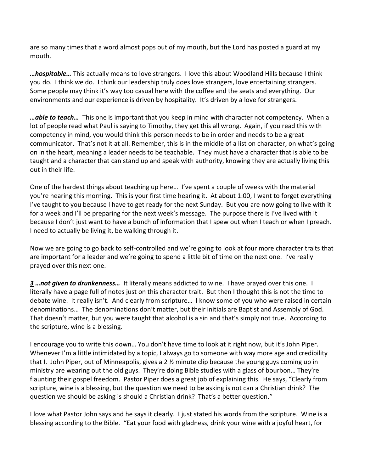are so many times that a word almost pops out of my mouth, but the Lord has posted a guard at my mouth.

*…hospitable…* This actually means to love strangers. I love this about Woodland Hills because I think you do. I think we do. I think our leadership truly does love strangers, love entertaining strangers. Some people may think it's way too casual here with the coffee and the seats and everything. Our environments and our experience is driven by hospitality. It's driven by a love for strangers.

*…able to teach…* This one is important that you keep in mind with character not competency. When a lot of people read what Paul is saying to Timothy, they get this all wrong. Again, if you read this with competency in mind, you would think this person needs to be in order and needs to be a great communicator. That's not it at all. Remember, this is in the middle of a list on character, on what's going on in the heart, meaning a leader needs to be teachable. They must have a character that is able to be taught and a character that can stand up and speak with authority, knowing they are actually living this out in their life.

One of the hardest things about teaching up here… I've spent a couple of weeks with the material you're hearing this morning. This is your first time hearing it. At about 1:00, I want to forget everything I've taught to you because I have to get ready for the next Sunday. But you are now going to live with it for a week and I'll be preparing for the next week's message. The purpose there is I've lived with it because I don't just want to have a bunch of information that I spew out when I teach or when I preach. I need to actually be living it, be walking through it.

Now we are going to go back to self-controlled and we're going to look at four more character traits that are important for a leader and we're going to spend a little bit of time on the next one. I've really prayed over this next one.

*[3](http://www.studylight.org/desk/?q=1ti%203:3&t1=en_niv&sr=1) …not given to drunkenness…* It literally means addicted to wine. I have prayed over this one. I literally have a page full of notes just on this character trait. But then I thought this is not the time to debate wine. It really isn't. And clearly from scripture… I know some of you who were raised in certain denominations… The denominations don't matter, but their initials are Baptist and Assembly of God. That doesn't matter, but you were taught that alcohol is a sin and that's simply not true. According to the scripture, wine is a blessing.

I encourage you to write this down… You don't have time to look at it right now, but it's John Piper. Whenever I'm a little intimidated by a topic, I always go to someone with way more age and credibility that I. John Piper, out of Minneapolis, gives a 2 ½ minute clip because the young guys coming up in ministry are wearing out the old guys. They're doing Bible studies with a glass of bourbon… They're flaunting their gospel freedom. Pastor Piper does a great job of explaining this. He says, "Clearly from scripture, wine is a blessing, but the question we need to be asking is not can a Christian drink? The question we should be asking is should a Christian drink? That's a better question."

I love what Pastor John says and he says it clearly. I just stated his words from the scripture. Wine is a blessing according to the Bible. "Eat your food with gladness, drink your wine with a joyful heart, for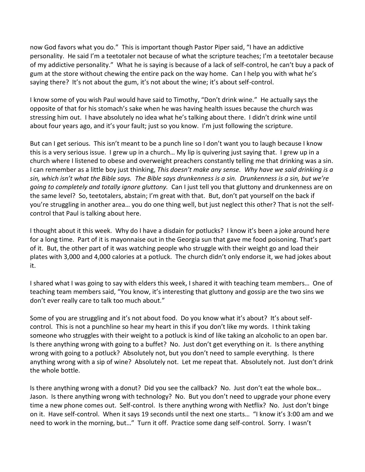now God favors what you do." This is important though Pastor Piper said, "I have an addictive personality. He said I'm a teetotaler not because of what the scripture teaches; I'm a teetotaler because of my addictive personality." What he is saying is because of a lack of self-control, he can't buy a pack of gum at the store without chewing the entire pack on the way home. Can I help you with what he's saying there? It's not about the gum, it's not about the wine; it's about self-control.

I know some of you wish Paul would have said to Timothy, "Don't drink wine." He actually says the opposite of that for his stomach's sake when he was having health issues because the church was stressing him out. I have absolutely no idea what he's talking about there. I didn't drink wine until about four years ago, and it's your fault; just so you know. I'm just following the scripture.

But can I get serious. This isn't meant to be a punch line so I don't want you to laugh because I know this is a very serious issue. I grew up in a church… My lip is quivering just saying that. I grew up in a church where I listened to obese and overweight preachers constantly telling me that drinking was a sin. I can remember as a little boy just thinking, *This doesn't make any sense. Why have we said drinking is a sin, which isn't what the Bible says. The Bible says drunkenness is a sin. Drunkenness is a sin, but we're going to completely and totally ignore gluttony.* Can I just tell you that gluttony and drunkenness are on the same level? So, teetotalers, abstain; I'm great with that. But, don't pat yourself on the back if you're struggling in another area… you do one thing well, but just neglect this other? That is not the selfcontrol that Paul is talking about here.

I thought about it this week. Why do I have a disdain for potlucks? I know it's been a joke around here for a long time. Part of it is mayonnaise out in the Georgia sun that gave me food poisoning. That's part of it. But, the other part of it was watching people who struggle with their weight go and load their plates with 3,000 and 4,000 calories at a potluck. The church didn't only endorse it, we had jokes about it.

I shared what I was going to say with elders this week, I shared it with teaching team members… One of teaching team members said, "You know, it's interesting that gluttony and gossip are the two sins we don't ever really care to talk too much about."

Some of you are struggling and it's not about food. Do you know what it's about? It's about selfcontrol. This is not a punchline so hear my heart in this if you don't like my words. I think taking someone who struggles with their weight to a potluck is kind of like taking an alcoholic to an open bar. Is there anything wrong with going to a buffet? No. Just don't get everything on it. Is there anything wrong with going to a potluck? Absolutely not, but you don't need to sample everything. Is there anything wrong with a sip of wine? Absolutely not. Let me repeat that. Absolutely not. Just don't drink the whole bottle.

Is there anything wrong with a donut? Did you see the callback? No. Just don't eat the whole box… Jason. Is there anything wrong with technology? No. But you don't need to upgrade your phone every time a new phone comes out. Self-control. Is there anything wrong with Netflix? No. Just don't binge on it. Have self-control. When it says 19 seconds until the next one starts… "I know it's 3:00 am and we need to work in the morning, but…" Turn it off. Practice some dang self-control. Sorry. I wasn't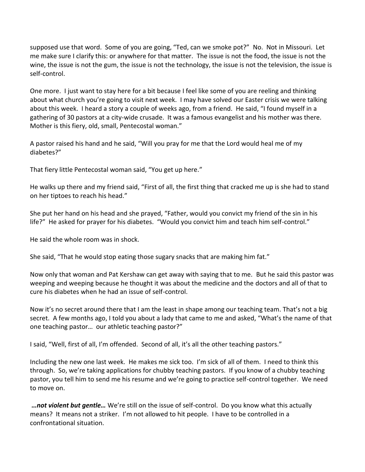supposed use that word. Some of you are going, "Ted, can we smoke pot?" No. Not in Missouri. Let me make sure I clarify this: or anywhere for that matter. The issue is not the food, the issue is not the wine, the issue is not the gum, the issue is not the technology, the issue is not the television, the issue is self-control.

One more. I just want to stay here for a bit because I feel like some of you are reeling and thinking about what church you're going to visit next week. I may have solved our Easter crisis we were talking about this week. I heard a story a couple of weeks ago, from a friend. He said, "I found myself in a gathering of 30 pastors at a city-wide crusade. It was a famous evangelist and his mother was there. Mother is this fiery, old, small, Pentecostal woman."

A pastor raised his hand and he said, "Will you pray for me that the Lord would heal me of my diabetes?"

That fiery little Pentecostal woman said, "You get up here."

He walks up there and my friend said, "First of all, the first thing that cracked me up is she had to stand on her tiptoes to reach his head."

She put her hand on his head and she prayed, "Father, would you convict my friend of the sin in his life?" He asked for prayer for his diabetes. "Would you convict him and teach him self-control."

He said the whole room was in shock.

She said, "That he would stop eating those sugary snacks that are making him fat."

Now only that woman and Pat Kershaw can get away with saying that to me. But he said this pastor was weeping and weeping because he thought it was about the medicine and the doctors and all of that to cure his diabetes when he had an issue of self-control.

Now it's no secret around there that I am the least in shape among our teaching team. That's not a big secret. A few months ago, I told you about a lady that came to me and asked, "What's the name of that one teaching pastor… our athletic teaching pastor?"

I said, "Well, first of all, I'm offended. Second of all, it's all the other teaching pastors."

Including the new one last week. He makes me sick too. I'm sick of all of them. I need to think this through. So, we're taking applications for chubby teaching pastors. If you know of a chubby teaching pastor, you tell him to send me his resume and we're going to practice self-control together. We need to move on.

*…not violent but gentle…* We're still on the issue of self-control. Do you know what this actually means? It means not a striker. I'm not allowed to hit people. I have to be controlled in a confrontational situation.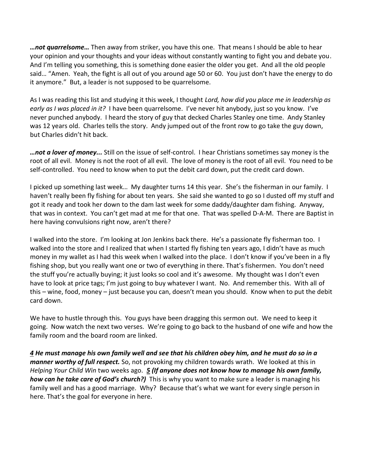*…not quarrelsome…* Then away from striker, you have this one. That means I should be able to hear your opinion and your thoughts and your ideas without constantly wanting to fight you and debate you. And I'm telling you something, this is something done easier the older you get. And all the old people said… "Amen. Yeah, the fight is all out of you around age 50 or 60. You just don't have the energy to do it anymore." But, a leader is not supposed to be quarrelsome.

As I was reading this list and studying it this week, I thought *Lord, how did you place me in leadership as early as I was placed in it?* I have been quarrelsome. I've never hit anybody, just so you know. I've never punched anybody. I heard the story of guy that decked Charles Stanley one time. Andy Stanley was 12 years old. Charles tells the story. Andy jumped out of the front row to go take the guy down, but Charles didn't hit back.

*…not a lover of money...* Still on the issue of self-control. I hear Christians sometimes say money is the root of all evil. Money is not the root of all evil. The love of money is the root of all evil. You need to be self-controlled. You need to know when to put the debit card down, put the credit card down.

I picked up something last week… My daughter turns 14 this year. She's the fisherman in our family. I haven't really been fly fishing for about ten years. She said she wanted to go so I dusted off my stuff and got it ready and took her down to the dam last week for some daddy/daughter dam fishing. Anyway, that was in context. You can't get mad at me for that one. That was spelled D-A-M. There are Baptist in here having convulsions right now, aren't there?

I walked into the store. I'm looking at Jon Jenkins back there. He's a passionate fly fisherman too. I walked into the store and I realized that when I started fly fishing ten years ago, I didn't have as much money in my wallet as I had this week when I walked into the place. I don't know if you've been in a fly fishing shop, but you really want one or two of everything in there. That's fishermen. You don't need the stuff you're actually buying; it just looks so cool and it's awesome. My thought was I don't even have to look at price tags; I'm just going to buy whatever I want. No. And remember this. With all of this – wine, food, money – just because you can, doesn't mean you should. Know when to put the debit card down.

We have to hustle through this. You guys have been dragging this sermon out. We need to keep it going. Now watch the next two verses. We're going to go back to the husband of one wife and how the family room and the board room are linked.

*[4](http://www.studylight.org/desk/?q=1ti%203:4&t1=en_niv&sr=1) He must manage his own family well and see that his children obey him, and he must do so in a manner worthy of full respect.* So, not provoking my children towards wrath. We looked at this in *Helping Your Child Win* two weeks ago. *[5](http://www.studylight.org/desk/?q=1ti%203:5&t1=en_niv&sr=1) (If anyone does not know how to manage his own family, how can he take care of God's church?)* This is why you want to make sure a leader is managing his family well and has a good marriage. Why? Because that's what we want for every single person in here. That's the goal for everyone in here.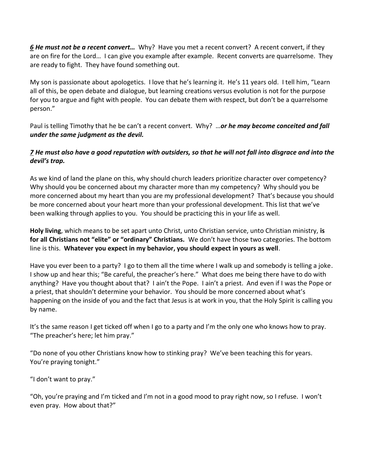*[6](http://www.studylight.org/desk/?q=1ti%203:6&t1=en_niv&sr=1) He must not be a recent convert…* Why? Have you met a recent convert? A recent convert, if they are on fire for the Lord… I can give you example after example. Recent converts are quarrelsome. They are ready to fight. They have found something out.

My son is passionate about apologetics. I love that he's learning it. He's 11 years old. I tell him, "Learn all of this, be open debate and dialogue, but learning creations versus evolution is not for the purpose for you to argue and fight with people. You can debate them with respect, but don't be a quarrelsome person."

Paul is telling Timothy that he be can't a recent convert. Why? …*or he may become conceited and fall under the same judgment as the devil.* 

# *[7](http://www.studylight.org/desk/?q=1ti%203:7&t1=en_niv&sr=1) He must also have a good reputation with outsiders, so that he will not fall into disgrace and into the devil's trap.*

As we kind of land the plane on this, why should church leaders prioritize character over competency? Why should you be concerned about my character more than my competency? Why should you be more concerned about my heart than you are my professional development? That's because you should be more concerned about your heart more than your professional development. This list that we've been walking through applies to you. You should be practicing this in your life as well.

**Holy living**, which means to be set apart unto Christ, unto Christian service, unto Christian ministry, **is for all Christians not "elite" or "ordinary" Christians.** We don't have those two categories. The bottom line is this. **Whatever you expect in my behavior, you should expect in yours as well**.

Have you ever been to a party? I go to them all the time where I walk up and somebody is telling a joke. I show up and hear this; "Be careful, the preacher's here." What does me being there have to do with anything? Have you thought about that? I ain't the Pope. I ain't a priest. And even if I was the Pope or a priest, that shouldn't determine your behavior. You should be more concerned about what's happening on the inside of you and the fact that Jesus is at work in you, that the Holy Spirit is calling you by name.

It's the same reason I get ticked off when I go to a party and I'm the only one who knows how to pray. "The preacher's here; let him pray."

"Do none of you other Christians know how to stinking pray? We've been teaching this for years. You're praying tonight."

"I don't want to pray."

"Oh, you're praying and I'm ticked and I'm not in a good mood to pray right now, so I refuse. I won't even pray. How about that?"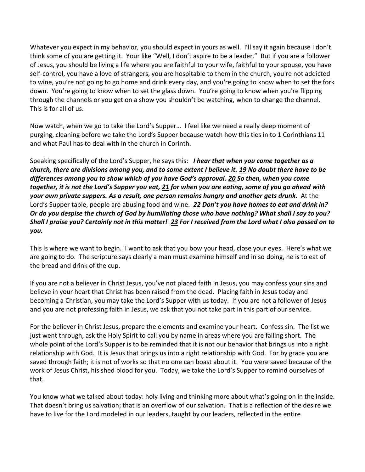Whatever you expect in my behavior, you should expect in yours as well. I'll say it again because I don't think some of you are getting it. Your like "Well, I don't aspire to be a leader." But if you are a follower of Jesus, you should be living a life where you are faithful to your wife, faithful to your spouse, you have self-control, you have a love of strangers, you are hospitable to them in the church, you're not addicted to wine, you're not going to go home and drink every day, and you're going to know when to set the fork down. You're going to know when to set the glass down. You're going to know when you're flipping through the channels or you get on a show you shouldn't be watching, when to change the channel. This is for all of us.

Now watch, when we go to take the Lord's Supper… I feel like we need a really deep moment of purging, cleaning before we take the Lord's Supper because watch how this ties in to 1 Corinthians 11 and what Paul has to deal with in the church in Corinth.

Speaking specifically of the Lord's Supper, he says this: *I hear that when you come together as a church, there are divisions among you, and to some extent I believe it. [19](http://www.studylight.org/desk/?q=1co%2011:19&t1=en_niv&sr=1) No doubt there have to be differences among you to show which of you have God's approval. [20](http://www.studylight.org/desk/?q=1co%2011:20&t1=en_niv&sr=1) So then, when you come together, it is not the Lord's Supper you eat, [21](http://www.studylight.org/desk/?q=1co%2011:21&t1=en_niv&sr=1) for when you are eating, some of you go ahead with your own private suppers. As a result, one person remains hungry and another gets drunk.* At the Lord's Supper table, people are abusing food and wine. *[22](http://www.studylight.org/desk/?q=1co%2011:22&t1=en_niv&sr=1) Don't you have homes to eat and drink in? Or do you despise the church of God by humiliating those who have nothing? What shall I say to you? Shall I praise you? Certainly not in this matter! [23](http://www.studylight.org/desk/?q=1co%2011:23&t1=en_niv&sr=1) For I received from the Lord what I also passed on to you.* 

This is where we want to begin. I want to ask that you bow your head, close your eyes. Here's what we are going to do. The scripture says clearly a man must examine himself and in so doing, he is to eat of the bread and drink of the cup.

If you are not a believer in Christ Jesus, you've not placed faith in Jesus, you may confess your sins and believe in your heart that Christ has been raised from the dead. Placing faith in Jesus today and becoming a Christian, you may take the Lord's Supper with us today. If you are not a follower of Jesus and you are not professing faith in Jesus, we ask that you not take part in this part of our service.

For the believer in Christ Jesus, prepare the elements and examine your heart. Confess sin. The list we just went through, ask the Holy Spirit to call you by name in areas where you are falling short. The whole point of the Lord's Supper is to be reminded that it is not our behavior that brings us into a right relationship with God. It is Jesus that brings us into a right relationship with God. For by grace you are saved through faith; it is not of works so that no one can boast about it. You were saved because of the work of Jesus Christ, his shed blood for you. Today, we take the Lord's Supper to remind ourselves of that.

You know what we talked about today: holy living and thinking more about what's going on in the inside. That doesn't bring us salvation; that is an overflow of our salvation. That is a reflection of the desire we have to live for the Lord modeled in our leaders, taught by our leaders, reflected in the entire